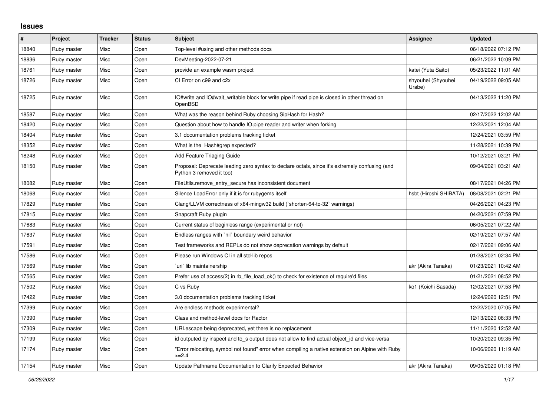## **Issues**

| $\#$  | Project     | <b>Tracker</b> | <b>Status</b> | <b>Subject</b>                                                                                                             | Assignee                     | <b>Updated</b>      |
|-------|-------------|----------------|---------------|----------------------------------------------------------------------------------------------------------------------------|------------------------------|---------------------|
| 18840 | Ruby master | Misc           | Open          | Top-level #using and other methods docs                                                                                    |                              | 06/18/2022 07:12 PM |
| 18836 | Ruby master | Misc           | Open          | DevMeeting-2022-07-21                                                                                                      |                              | 06/21/2022 10:09 PM |
| 18761 | Ruby master | Misc           | Open          | provide an example wasm project                                                                                            | katei (Yuta Saito)           | 05/23/2022 11:01 AM |
| 18726 | Ruby master | Misc           | Open          | CI Error on c99 and c2x                                                                                                    | shyouhei (Shyouhei<br>Urabe) | 04/19/2022 09:05 AM |
| 18725 | Ruby master | Misc           | Open          | IO#write and IO#wait writable block for write pipe if read pipe is closed in other thread on<br>OpenBSD                    |                              | 04/13/2022 11:20 PM |
| 18587 | Ruby master | Misc           | Open          | What was the reason behind Ruby choosing SipHash for Hash?                                                                 |                              | 02/17/2022 12:02 AM |
| 18420 | Ruby master | Misc           | Open          | Question about how to handle IO.pipe reader and writer when forking                                                        |                              | 12/22/2021 12:04 AM |
| 18404 | Ruby master | Misc           | Open          | 3.1 documentation problems tracking ticket                                                                                 |                              | 12/24/2021 03:59 PM |
| 18352 | Ruby master | Misc           | Open          | What is the Hash#grep expected?                                                                                            |                              | 11/28/2021 10:39 PM |
| 18248 | Ruby master | Misc           | Open          | Add Feature Triaging Guide                                                                                                 |                              | 10/12/2021 03:21 PM |
| 18150 | Ruby master | Misc           | Open          | Proposal: Deprecate leading zero syntax to declare octals, since it's extremely confusing (and<br>Python 3 removed it too) |                              | 09/04/2021 03:21 AM |
| 18082 | Ruby master | Misc           | Open          | FileUtils.remove entry secure has inconsistent document                                                                    |                              | 08/17/2021 04:26 PM |
| 18068 | Ruby master | Misc           | Open          | Silence LoadError only if it is for rubygems itself                                                                        | hsbt (Hiroshi SHIBATA)       | 08/08/2021 02:21 PM |
| 17829 | Ruby master | Misc           | Open          | Clang/LLVM correctness of x64-mingw32 build ('shorten-64-to-32' warnings)                                                  |                              | 04/26/2021 04:23 PM |
| 17815 | Ruby master | Misc           | Open          | Snapcraft Ruby plugin                                                                                                      |                              | 04/20/2021 07:59 PM |
| 17683 | Ruby master | Misc           | Open          | Current status of beginless range (experimental or not)                                                                    |                              | 06/05/2021 07:22 AM |
| 17637 | Ruby master | Misc           | Open          | Endless ranges with `nil` boundary weird behavior                                                                          |                              | 02/19/2021 07:57 AM |
| 17591 | Ruby master | Misc           | Open          | Test frameworks and REPLs do not show deprecation warnings by default                                                      |                              | 02/17/2021 09:06 AM |
| 17586 | Ruby master | Misc           | Open          | Please run Windows CI in all std-lib repos                                                                                 |                              | 01/28/2021 02:34 PM |
| 17569 | Ruby master | Misc           | Open          | uri lib maintainership                                                                                                     | akr (Akira Tanaka)           | 01/23/2021 10:42 AM |
| 17565 | Ruby master | Misc           | Open          | Prefer use of access(2) in rb file load ok() to check for existence of require'd files                                     |                              | 01/21/2021 08:52 PM |
| 17502 | Ruby master | Misc           | Open          | C vs Ruby                                                                                                                  | ko1 (Koichi Sasada)          | 12/02/2021 07:53 PM |
| 17422 | Ruby master | Misc           | Open          | 3.0 documentation problems tracking ticket                                                                                 |                              | 12/24/2020 12:51 PM |
| 17399 | Ruby master | Misc           | Open          | Are endless methods experimental?                                                                                          |                              | 12/22/2020 07:05 PM |
| 17390 | Ruby master | Misc           | Open          | Class and method-level docs for Ractor                                                                                     |                              | 12/13/2020 06:33 PM |
| 17309 | Ruby master | Misc           | Open          | URI escape being deprecated, yet there is no replacement                                                                   |                              | 11/11/2020 12:52 AM |
| 17199 | Ruby master | Misc           | Open          | id outputed by inspect and to s output does not allow to find actual object id and vice-versa                              |                              | 10/20/2020 09:35 PM |
| 17174 | Ruby master | Misc           | Open          | 'Error relocating, symbol not found" error when compiling a native extension on Alpine with Ruby<br>$>=2.4$                |                              | 10/06/2020 11:19 AM |
| 17154 | Ruby master | Misc           | Open          | Update Pathname Documentation to Clarify Expected Behavior                                                                 | akr (Akira Tanaka)           | 09/05/2020 01:18 PM |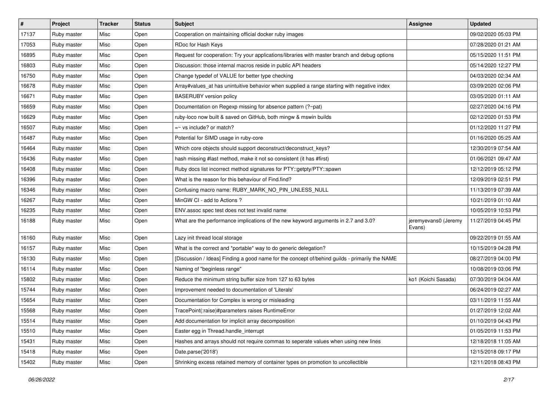| $\sharp$ | Project     | <b>Tracker</b> | <b>Status</b> | Subject                                                                                        | Assignee                       | <b>Updated</b>      |
|----------|-------------|----------------|---------------|------------------------------------------------------------------------------------------------|--------------------------------|---------------------|
| 17137    | Ruby master | Misc           | Open          | Cooperation on maintaining official docker ruby images                                         |                                | 09/02/2020 05:03 PM |
| 17053    | Ruby master | Misc           | Open          | RDoc for Hash Keys                                                                             |                                | 07/28/2020 01:21 AM |
| 16895    | Ruby master | Misc           | Open          | Request for cooperation: Try your applications/libraries with master branch and debug options  |                                | 05/15/2020 11:51 PM |
| 16803    | Ruby master | Misc           | Open          | Discussion: those internal macros reside in public API headers                                 |                                | 05/14/2020 12:27 PM |
| 16750    | Ruby master | Misc           | Open          | Change typedef of VALUE for better type checking                                               |                                | 04/03/2020 02:34 AM |
| 16678    | Ruby master | Misc           | Open          | Array#values_at has unintuitive behavior when supplied a range starting with negative index    |                                | 03/09/2020 02:06 PM |
| 16671    | Ruby master | Misc           | Open          | <b>BASERUBY</b> version policy                                                                 |                                | 03/05/2020 01:11 AM |
| 16659    | Ruby master | Misc           | Open          | Documentation on Regexp missing for absence pattern (?~pat)                                    |                                | 02/27/2020 04:16 PM |
| 16629    | Ruby master | Misc           | Open          | ruby-loco now built & saved on GitHub, both mingw & mswin builds                               |                                | 02/12/2020 01:53 PM |
| 16507    | Ruby master | Misc           | Open          | $=$ vs include? or match?                                                                      |                                | 01/12/2020 11:27 PM |
| 16487    | Ruby master | Misc           | Open          | Potential for SIMD usage in ruby-core                                                          |                                | 01/16/2020 05:25 AM |
| 16464    | Ruby master | Misc           | Open          | Which core objects should support deconstruct/deconstruct_keys?                                |                                | 12/30/2019 07:54 AM |
| 16436    | Ruby master | Misc           | Open          | hash missing #last method, make it not so consistent (it has #first)                           |                                | 01/06/2021 09:47 AM |
| 16408    | Ruby master | Misc           | Open          | Ruby docs list incorrect method signatures for PTY::getpty/PTY::spawn                          |                                | 12/12/2019 05:12 PM |
| 16396    | Ruby master | Misc           | Open          | What is the reason for this behaviour of Find.find?                                            |                                | 12/09/2019 02:51 PM |
| 16346    | Ruby master | Misc           | Open          | Confusing macro name: RUBY_MARK_NO_PIN_UNLESS_NULL                                             |                                | 11/13/2019 07:39 AM |
| 16267    | Ruby master | Misc           | Open          | MinGW CI - add to Actions?                                                                     |                                | 10/21/2019 01:10 AM |
| 16235    | Ruby master | Misc           | Open          | ENV assoc spec test does not test invalid name                                                 |                                | 10/05/2019 10:53 PM |
| 16188    | Ruby master | Misc           | Open          | What are the performance implications of the new keyword arguments in 2.7 and 3.0?             | jeremyevans0 (Jeremy<br>Evans) | 11/27/2019 04:45 PM |
| 16160    | Ruby master | Misc           | Open          | Lazy init thread local storage                                                                 |                                | 09/22/2019 01:55 AM |
| 16157    | Ruby master | Misc           | Open          | What is the correct and *portable* way to do generic delegation?                               |                                | 10/15/2019 04:28 PM |
| 16130    | Ruby master | Misc           | Open          | [Discussion / Ideas] Finding a good name for the concept of/behind guilds - primarily the NAME |                                | 08/27/2019 04:00 PM |
| 16114    | Ruby master | Misc           | Open          | Naming of "beginless range"                                                                    |                                | 10/08/2019 03:06 PM |
| 15802    | Ruby master | Misc           | Open          | Reduce the minimum string buffer size from 127 to 63 bytes                                     | ko1 (Koichi Sasada)            | 07/30/2019 04:04 AM |
| 15744    | Ruby master | Misc           | Open          | Improvement needed to documentation of 'Literals'                                              |                                | 06/24/2019 02:27 AM |
| 15654    | Ruby master | Misc           | Open          | Documentation for Complex is wrong or misleading                                               |                                | 03/11/2019 11:55 AM |
| 15568    | Ruby master | Misc           | Open          | TracePoint(:raise)#parameters raises RuntimeError                                              |                                | 01/27/2019 12:02 AM |
| 15514    | Ruby master | Misc           | Open          | Add documentation for implicit array decomposition                                             |                                | 01/10/2019 04:43 PM |
| 15510    | Ruby master | Misc           | Open          | Easter egg in Thread.handle_interrupt                                                          |                                | 01/05/2019 11:53 PM |
| 15431    | Ruby master | Misc           | Open          | Hashes and arrays should not require commas to seperate values when using new lines            |                                | 12/18/2018 11:05 AM |
| 15418    | Ruby master | Misc           | Open          | Date.parse('2018')                                                                             |                                | 12/15/2018 09:17 PM |
| 15402    | Ruby master | Misc           | Open          | Shrinking excess retained memory of container types on promotion to uncollectible              |                                | 12/11/2018 08:43 PM |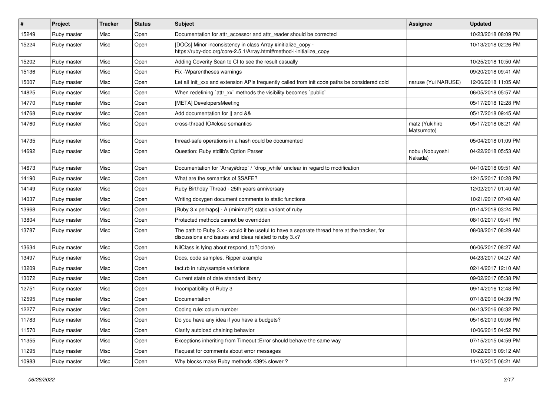| $\#$  | Project     | <b>Tracker</b> | <b>Status</b> | <b>Subject</b>                                                                                                                                        | Assignee                     | <b>Updated</b>      |
|-------|-------------|----------------|---------------|-------------------------------------------------------------------------------------------------------------------------------------------------------|------------------------------|---------------------|
| 15249 | Ruby master | Misc           | Open          | Documentation for attr accessor and attr reader should be corrected                                                                                   |                              | 10/23/2018 08:09 PM |
| 15224 | Ruby master | Misc           | Open          | [DOCs] Minor inconsistency in class Array #initialize_copy -<br>https://ruby-doc.org/core-2.5.1/Array.html#method-i-initialize_copy                   |                              | 10/13/2018 02:26 PM |
| 15202 | Ruby master | Misc           | Open          | Adding Coverity Scan to CI to see the result casually                                                                                                 |                              | 10/25/2018 10:50 AM |
| 15136 | Ruby master | Misc           | Open          | Fix - Wparentheses warnings                                                                                                                           |                              | 09/20/2018 09:41 AM |
| 15007 | Ruby master | Misc           | Open          | Let all Init xxx and extension APIs frequently called from init code paths be considered cold                                                         | naruse (Yui NARUSE)          | 12/06/2018 11:05 AM |
| 14825 | Ruby master | Misc           | Open          | When redefining 'attr_xx' methods the visibility becomes 'public'                                                                                     |                              | 06/05/2018 05:57 AM |
| 14770 | Ruby master | Misc           | Open          | [META] DevelopersMeeting                                                                                                                              |                              | 05/17/2018 12:28 PM |
| 14768 | Ruby master | Misc           | Open          | Add documentation for    and &&                                                                                                                       |                              | 05/17/2018 09:45 AM |
| 14760 | Ruby master | Misc           | Open          | cross-thread IO#close semantics                                                                                                                       | matz (Yukihiro<br>Matsumoto) | 05/17/2018 08:21 AM |
| 14735 | Ruby master | Misc           | Open          | thread-safe operations in a hash could be documented                                                                                                  |                              | 05/04/2018 01:09 PM |
| 14692 | Ruby master | Misc           | Open          | Question: Ruby stdlib's Option Parser                                                                                                                 | nobu (Nobuyoshi<br>Nakada)   | 04/22/2018 05:53 AM |
| 14673 | Ruby master | Misc           | Open          | Documentation for `Array#drop` / `drop_while` unclear in regard to modification                                                                       |                              | 04/10/2018 09:51 AM |
| 14190 | Ruby master | Misc           | Open          | What are the semantics of \$SAFE?                                                                                                                     |                              | 12/15/2017 10:28 PM |
| 14149 | Ruby master | Misc           | Open          | Ruby Birthday Thread - 25th years anniversary                                                                                                         |                              | 12/02/2017 01:40 AM |
| 14037 | Ruby master | Misc           | Open          | Writing doxygen document comments to static functions                                                                                                 |                              | 10/21/2017 07:48 AM |
| 13968 | Ruby master | Misc           | Open          | [Ruby 3.x perhaps] - A (minimal?) static variant of ruby                                                                                              |                              | 01/14/2018 03:24 PM |
| 13804 | Ruby master | Misc           | Open          | Protected methods cannot be overridden                                                                                                                |                              | 08/10/2017 09:41 PM |
| 13787 | Ruby master | Misc           | Open          | The path to Ruby 3.x - would it be useful to have a separate thread here at the tracker, for<br>discussions and issues and ideas related to ruby 3.x? |                              | 08/08/2017 08:29 AM |
| 13634 | Ruby master | Misc           | Open          | NilClass is lying about respond_to?(:clone)                                                                                                           |                              | 06/06/2017 08:27 AM |
| 13497 | Ruby master | Misc           | Open          | Docs, code samples, Ripper example                                                                                                                    |                              | 04/23/2017 04:27 AM |
| 13209 | Ruby master | Misc           | Open          | fact.rb in ruby/sample variations                                                                                                                     |                              | 02/14/2017 12:10 AM |
| 13072 | Ruby master | Misc           | Open          | Current state of date standard library                                                                                                                |                              | 09/02/2017 05:38 PM |
| 12751 | Ruby master | Misc           | Open          | Incompatibility of Ruby 3                                                                                                                             |                              | 09/14/2016 12:48 PM |
| 12595 | Ruby master | Misc           | Open          | Documentation                                                                                                                                         |                              | 07/18/2016 04:39 PM |
| 12277 | Ruby master | Misc           | Open          | Coding rule: colum number                                                                                                                             |                              | 04/13/2016 06:32 PM |
| 11783 | Ruby master | Misc           | Open          | Do you have any idea if you have a budgets?                                                                                                           |                              | 05/16/2019 09:06 PM |
| 11570 | Ruby master | Misc           | Open          | Clarify autoload chaining behavior                                                                                                                    |                              | 10/06/2015 04:52 PM |
| 11355 | Ruby master | Misc           | Open          | Exceptions inheriting from Timeout::Error should behave the same way                                                                                  |                              | 07/15/2015 04:59 PM |
| 11295 | Ruby master | Misc           | Open          | Request for comments about error messages                                                                                                             |                              | 10/22/2015 09:12 AM |
| 10983 | Ruby master | Misc           | Open          | Why blocks make Ruby methods 439% slower?                                                                                                             |                              | 11/10/2015 06:21 AM |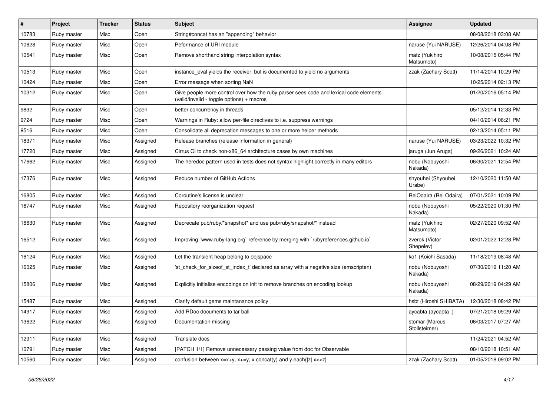| #     | Project     | <b>Tracker</b> | <b>Status</b> | Subject                                                                                                                            | Assignee                        | <b>Updated</b>      |
|-------|-------------|----------------|---------------|------------------------------------------------------------------------------------------------------------------------------------|---------------------------------|---------------------|
| 10783 | Ruby master | Misc           | Open          | String#concat has an "appending" behavior                                                                                          |                                 | 08/08/2018 03:08 AM |
| 10628 | Ruby master | Misc           | Open          | Peformance of URI module                                                                                                           | naruse (Yui NARUSE)             | 12/26/2014 04:08 PM |
| 10541 | Ruby master | Misc           | Open          | Remove shorthand string interpolation syntax                                                                                       | matz (Yukihiro<br>Matsumoto)    | 10/08/2015 05:44 PM |
| 10513 | Ruby master | Misc           | Open          | instance_eval yields the receiver, but is documented to yield no arguments                                                         | zzak (Zachary Scott)            | 11/14/2014 10:29 PM |
| 10424 | Ruby master | Misc           | Open          | Error message when sorting NaN                                                                                                     |                                 | 10/25/2014 02:13 PM |
| 10312 | Ruby master | Misc           | Open          | Give people more control over how the ruby parser sees code and lexical code elements<br>(valid/invalid - toggle options) + macros |                                 | 01/20/2016 05:14 PM |
| 9832  | Ruby master | Misc           | Open          | better concurrency in threads                                                                                                      |                                 | 05/12/2014 12:33 PM |
| 9724  | Ruby master | Misc           | Open          | Warnings in Ruby: allow per-file directives to i.e. suppress warnings                                                              |                                 | 04/10/2014 06:21 PM |
| 9516  | Ruby master | Misc           | Open          | Consolidate all deprecation messages to one or more helper methods                                                                 |                                 | 02/13/2014 05:11 PM |
| 18371 | Ruby master | Misc           | Assigned      | Release branches (release information in general)                                                                                  | naruse (Yui NARUSE)             | 03/23/2022 10:32 PM |
| 17720 | Ruby master | Misc           | Assigned      | Cirrus CI to check non-x86_64 architecture cases by own machines                                                                   | jaruga (Jun Aruga)              | 09/26/2021 10:24 AM |
| 17662 | Ruby master | Misc           | Assigned      | The heredoc pattern used in tests does not syntax highlight correctly in many editors                                              | nobu (Nobuyoshi<br>Nakada)      | 06/30/2021 12:54 PM |
| 17376 | Ruby master | Misc           | Assigned      | Reduce number of GitHub Actions                                                                                                    | shyouhei (Shyouhei<br>Urabe)    | 12/10/2020 11:50 AM |
| 16805 | Ruby master | Misc           | Assigned      | Coroutine's license is unclear                                                                                                     | ReiOdaira (Rei Odaira)          | 07/01/2021 10:09 PM |
| 16747 | Ruby master | Misc           | Assigned      | Repository reorganization request                                                                                                  | nobu (Nobuyoshi<br>Nakada)      | 05/22/2020 01:30 PM |
| 16630 | Ruby master | Misc           | Assigned      | Deprecate pub/ruby/*snapshot* and use pub/ruby/snapshot/* instead                                                                  | matz (Yukihiro<br>Matsumoto)    | 02/27/2020 09:52 AM |
| 16512 | Ruby master | Misc           | Assigned      | Improving `www.ruby-lang.org` reference by merging with `rubyreferences.github.io`                                                 | zverok (Victor<br>Shepelev)     | 02/01/2022 12:28 PM |
| 16124 | Ruby master | Misc           | Assigned      | Let the transient heap belong to objspace                                                                                          | ko1 (Koichi Sasada)             | 11/18/2019 08:48 AM |
| 16025 | Ruby master | Misc           | Assigned      | 'st_check_for_sizeof_st_index_t' declared as array with a negative size (emscripten)                                               | nobu (Nobuyoshi<br>Nakada)      | 07/30/2019 11:20 AM |
| 15806 | Ruby master | Misc           | Assigned      | Explicitly initialise encodings on init to remove branches on encoding lookup                                                      | nobu (Nobuyoshi<br>Nakada)      | 08/29/2019 04:29 AM |
| 15487 | Ruby master | Misc           | Assigned      | Clarify default gems maintanance policy                                                                                            | hsbt (Hiroshi SHIBATA)          | 12/30/2018 08:42 PM |
| 14917 | Ruby master | Misc           | Assigned      | Add RDoc documents to tar ball                                                                                                     | aycabta (aycabta.)              | 07/21/2018 09:29 AM |
| 13622 | Ruby master | Misc           | Assigned      | Documentation missing                                                                                                              | stomar (Marcus<br>Stollsteimer) | 06/03/2017 07:27 AM |
| 12911 | Ruby master | Misc           | Assigned      | Translate docs                                                                                                                     |                                 | 11/24/2021 04:52 AM |
| 10791 | Ruby master | Misc           | Assigned      | [PATCH 1/1] Remove unnecessary passing value from doc for Observable                                                               |                                 | 08/10/2018 10:51 AM |
| 10560 | Ruby master | Misc           | Assigned      | confusion between $x=x+y$ , $x+=y$ , x.concat(y) and y.each{ z  $x<}$                                                              | zzak (Zachary Scott)            | 01/05/2018 09:02 PM |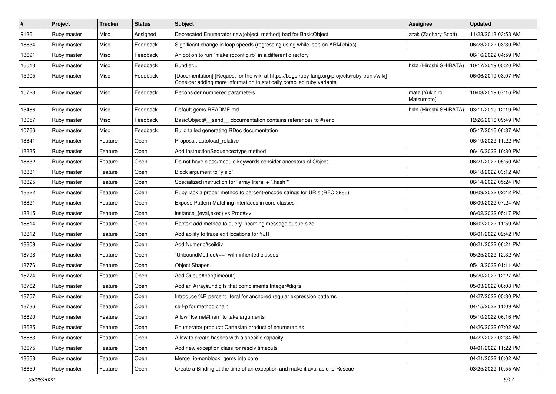| $\vert$ # | <b>Project</b> | <b>Tracker</b> | <b>Status</b> | Subject                                                                                                                                                                  | <b>Assignee</b>              | <b>Updated</b>      |
|-----------|----------------|----------------|---------------|--------------------------------------------------------------------------------------------------------------------------------------------------------------------------|------------------------------|---------------------|
| 9136      | Ruby master    | Misc           | Assigned      | Deprecated Enumerator.new(object, method) bad for BasicObject                                                                                                            | zzak (Zachary Scott)         | 11/23/2013 03:58 AM |
| 18834     | Ruby master    | Misc           | Feedback      | Significant change in loop speeds (regressing using while loop on ARM chips)                                                                                             |                              | 06/23/2022 03:30 PM |
| 18691     | Ruby master    | Misc           | Feedback      | An option to run `make rbconfig.rb` in a different directory                                                                                                             |                              | 06/16/2022 04:59 PM |
| 16013     | Ruby master    | Misc           | Feedback      | Bundler                                                                                                                                                                  | hsbt (Hiroshi SHIBATA)       | 10/17/2019 05:20 PM |
| 15905     | Ruby master    | Misc           | Feedback      | [Documentation] [Request for the wiki at https://bugs.ruby-lang.org/projects/ruby-trunk/wiki] -<br>Consider adding more information to statically compiled ruby variants |                              | 06/06/2019 03:07 PM |
| 15723     | Ruby master    | Misc           | Feedback      | Reconsider numbered parameters                                                                                                                                           | matz (Yukihiro<br>Matsumoto) | 10/03/2019 07:16 PM |
| 15486     | Ruby master    | Misc           | Feedback      | Default gems README.md                                                                                                                                                   | hsbt (Hiroshi SHIBATA)       | 03/11/2019 12:19 PM |
| 13057     | Ruby master    | Misc           | Feedback      | BasicObject#_send_ documentation contains references to #send                                                                                                            |                              | 12/26/2016 09:49 PM |
| 10766     | Ruby master    | Misc           | Feedback      | Build failed generating RDoc documentation                                                                                                                               |                              | 05/17/2016 06:37 AM |
| 18841     | Ruby master    | Feature        | Open          | Proposal: autoload_relative                                                                                                                                              |                              | 06/19/2022 11:22 PM |
| 18835     | Ruby master    | Feature        | Open          | Add InstructionSequence#type method                                                                                                                                      |                              | 06/16/2022 10:30 PM |
| 18832     | Ruby master    | Feature        | Open          | Do not have class/module keywords consider ancestors of Object                                                                                                           |                              | 06/21/2022 05:50 AM |
| 18831     | Ruby master    | Feature        | Open          | Block argument to `yield`                                                                                                                                                |                              | 06/18/2022 03:12 AM |
| 18825     | Ruby master    | Feature        | Open          | Specialized instruction for "array literal + `.hash`"                                                                                                                    |                              | 06/14/2022 05:24 PM |
| 18822     | Ruby master    | Feature        | Open          | Ruby lack a proper method to percent-encode strings for URIs (RFC 3986)                                                                                                  |                              | 06/09/2022 02:42 PM |
| 18821     | Ruby master    | Feature        | Open          | Expose Pattern Matching interfaces in core classes                                                                                                                       |                              | 06/09/2022 07:24 AM |
| 18815     | Ruby master    | Feature        | Open          | instance_{eval,exec} vs Proc#>>                                                                                                                                          |                              | 06/02/2022 05:17 PM |
| 18814     | Ruby master    | Feature        | Open          | Ractor: add method to query incoming message queue size                                                                                                                  |                              | 06/02/2022 11:59 AM |
| 18812     | Ruby master    | Feature        | Open          | Add ability to trace exit locations for YJIT                                                                                                                             |                              | 06/01/2022 02:42 PM |
| 18809     | Ruby master    | Feature        | Open          | Add Numeric#ceildiv                                                                                                                                                      |                              | 06/21/2022 06:21 PM |
| 18798     | Ruby master    | Feature        | Open          | 'UnboundMethod#==' with inherited classes                                                                                                                                |                              | 05/25/2022 12:32 AM |
| 18776     | Ruby master    | Feature        | Open          | <b>Object Shapes</b>                                                                                                                                                     |                              | 05/13/2022 01:11 AM |
| 18774     | Ruby master    | Feature        | Open          | Add Queue#pop(timeout:)                                                                                                                                                  |                              | 05/20/2022 12:27 AM |
| 18762     | Ruby master    | Feature        | Open          | Add an Array#undigits that compliments Integer#digits                                                                                                                    |                              | 05/03/2022 08:08 PM |
| 18757     | Ruby master    | Feature        | Open          | Introduce %R percent literal for anchored regular expression patterns                                                                                                    |                              | 04/27/2022 05:30 PM |
| 18736     | Ruby master    | Feature        | Open          | self-p for method chain                                                                                                                                                  |                              | 04/15/2022 11:09 AM |
| 18690     | Ruby master    | Feature        | Open          | Allow `Kernel#then` to take arguments                                                                                                                                    |                              | 05/10/2022 06:16 PM |
| 18685     | Ruby master    | Feature        | Open          | Enumerator.product: Cartesian product of enumerables                                                                                                                     |                              | 04/26/2022 07:02 AM |
| 18683     | Ruby master    | Feature        | Open          | Allow to create hashes with a specific capacity.                                                                                                                         |                              | 04/22/2022 02:34 PM |
| 18675     | Ruby master    | Feature        | Open          | Add new exception class for resolv timeouts                                                                                                                              |                              | 04/01/2022 11:22 PM |
| 18668     | Ruby master    | Feature        | Open          | Merge `io-nonblock` gems into core                                                                                                                                       |                              | 04/21/2022 10:02 AM |
| 18659     | Ruby master    | Feature        | Open          | Create a Binding at the time of an exception and make it available to Rescue                                                                                             |                              | 03/25/2022 10:55 AM |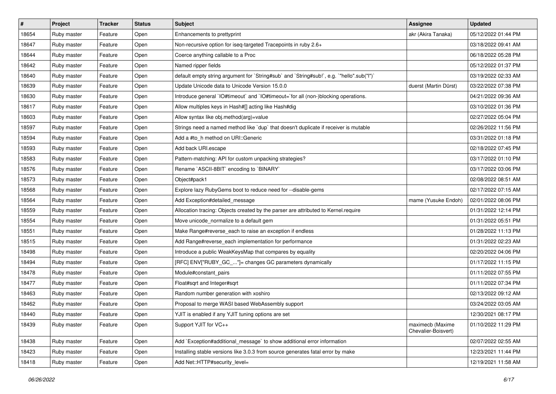| $\sharp$ | Project     | <b>Tracker</b> | <b>Status</b> | Subject                                                                                   | <b>Assignee</b>                         | <b>Updated</b>      |
|----------|-------------|----------------|---------------|-------------------------------------------------------------------------------------------|-----------------------------------------|---------------------|
| 18654    | Ruby master | Feature        | Open          | Enhancements to prettyprint                                                               | akr (Akira Tanaka)                      | 05/12/2022 01:44 PM |
| 18647    | Ruby master | Feature        | Open          | Non-recursive option for iseq-targeted Tracepoints in ruby 2.6+                           |                                         | 03/18/2022 09:41 AM |
| 18644    | Ruby master | Feature        | Open          | Coerce anything callable to a Proc                                                        |                                         | 06/18/2022 05:28 PM |
| 18642    | Ruby master | Feature        | Open          | Named ripper fields                                                                       |                                         | 05/12/2022 01:37 PM |
| 18640    | Ruby master | Feature        | Open          | default empty string argument for `String#sub` and `String#sub!`, e.g. `"hello".sub("I")` |                                         | 03/19/2022 02:33 AM |
| 18639    | Ruby master | Feature        | Open          | Update Unicode data to Unicode Version 15.0.0                                             | duerst (Martin Dürst)                   | 03/22/2022 07:38 PM |
| 18630    | Ruby master | Feature        | Open          | Introduce general `IO#timeout` and `IO#timeout=`for all (non-)blocking operations.        |                                         | 04/21/2022 09:36 AM |
| 18617    | Ruby master | Feature        | Open          | Allow multiples keys in Hash#[] acting like Hash#dig                                      |                                         | 03/10/2022 01:36 PM |
| 18603    | Ruby master | Feature        | Open          | Allow syntax like obj.method(arg)=value                                                   |                                         | 02/27/2022 05:04 PM |
| 18597    | Ruby master | Feature        | Open          | Strings need a named method like 'dup' that doesn't duplicate if receiver is mutable      |                                         | 02/26/2022 11:56 PM |
| 18594    | Ruby master | Feature        | Open          | Add a #to h method on URI::Generic                                                        |                                         | 03/31/2022 01:18 PM |
| 18593    | Ruby master | Feature        | Open          | Add back URI.escape                                                                       |                                         | 02/18/2022 07:45 PM |
| 18583    | Ruby master | Feature        | Open          | Pattern-matching: API for custom unpacking strategies?                                    |                                         | 03/17/2022 01:10 PM |
| 18576    | Ruby master | Feature        | Open          | Rename `ASCII-8BIT` encoding to `BINARY`                                                  |                                         | 03/17/2022 03:06 PM |
| 18573    | Ruby master | Feature        | Open          | Object#pack1                                                                              |                                         | 02/08/2022 08:51 AM |
| 18568    | Ruby master | Feature        | Open          | Explore lazy RubyGems boot to reduce need for --disable-gems                              |                                         | 02/17/2022 07:15 AM |
| 18564    | Ruby master | Feature        | Open          | Add Exception#detailed_message                                                            | mame (Yusuke Endoh)                     | 02/01/2022 08:06 PM |
| 18559    | Ruby master | Feature        | Open          | Allocation tracing: Objects created by the parser are attributed to Kernel.require        |                                         | 01/31/2022 12:14 PM |
| 18554    | Ruby master | Feature        | Open          | Move unicode_normalize to a default gem                                                   |                                         | 01/31/2022 05:51 PM |
| 18551    | Ruby master | Feature        | Open          | Make Range#reverse_each to raise an exception if endless                                  |                                         | 01/28/2022 11:13 PM |
| 18515    | Ruby master | Feature        | Open          | Add Range#reverse_each implementation for performance                                     |                                         | 01/31/2022 02:23 AM |
| 18498    | Ruby master | Feature        | Open          | Introduce a public WeakKeysMap that compares by equality                                  |                                         | 02/20/2022 04:06 PM |
| 18494    | Ruby master | Feature        | Open          | [RFC] ENV["RUBY_GC_"]= changes GC parameters dynamically                                  |                                         | 01/17/2022 11:15 PM |
| 18478    | Ruby master | Feature        | Open          | Module#constant_pairs                                                                     |                                         | 01/11/2022 07:55 PM |
| 18477    | Ruby master | Feature        | Open          | Float#sqrt and Integer#sqrt                                                               |                                         | 01/11/2022 07:34 PM |
| 18463    | Ruby master | Feature        | Open          | Random number generation with xoshiro                                                     |                                         | 02/13/2022 09:12 AM |
| 18462    | Ruby master | Feature        | Open          | Proposal to merge WASI based WebAssembly support                                          |                                         | 03/24/2022 03:05 AM |
| 18440    | Ruby master | Feature        | Open          | YJIT is enabled if any YJIT tuning options are set                                        |                                         | 12/30/2021 08:17 PM |
| 18439    | Ruby master | Feature        | Open          | Support YJIT for VC++                                                                     | maximecb (Maxime<br>Chevalier-Boisvert) | 01/10/2022 11:29 PM |
| 18438    | Ruby master | Feature        | Open          | Add `Exception#additional_message` to show additional error information                   |                                         | 02/07/2022 02:55 AM |
| 18423    | Ruby master | Feature        | Open          | Installing stable versions like 3.0.3 from source generates fatal error by make           |                                         | 12/23/2021 11:44 PM |
| 18418    | Ruby master | Feature        | Open          | Add Net::HTTP#security level=                                                             |                                         | 12/19/2021 11:58 AM |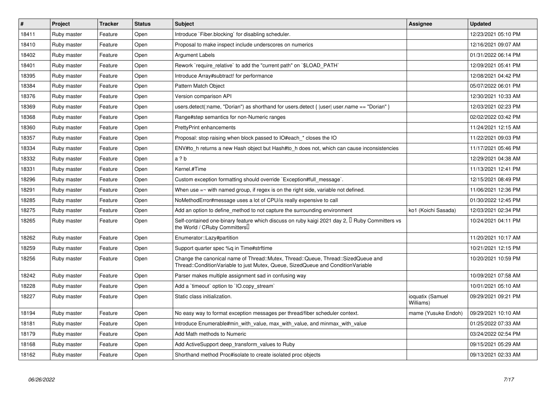| $\vert$ # | Project     | <b>Tracker</b> | <b>Status</b> | <b>Subject</b>                                                                                                                                                        | Assignee                      | <b>Updated</b>      |
|-----------|-------------|----------------|---------------|-----------------------------------------------------------------------------------------------------------------------------------------------------------------------|-------------------------------|---------------------|
| 18411     | Ruby master | Feature        | Open          | Introduce `Fiber.blocking` for disabling scheduler.                                                                                                                   |                               | 12/23/2021 05:10 PM |
| 18410     | Ruby master | Feature        | Open          | Proposal to make inspect include underscores on numerics                                                                                                              |                               | 12/16/2021 09:07 AM |
| 18402     | Ruby master | Feature        | Open          | Argument Labels                                                                                                                                                       |                               | 01/31/2022 06:14 PM |
| 18401     | Ruby master | Feature        | Open          | Rework `require_relative` to add the "current path" on `\$LOAD_PATH`                                                                                                  |                               | 12/09/2021 05:41 PM |
| 18395     | Ruby master | Feature        | Open          | Introduce Array#subtract! for performance                                                                                                                             |                               | 12/08/2021 04:42 PM |
| 18384     | Ruby master | Feature        | Open          | Pattern Match Object                                                                                                                                                  |                               | 05/07/2022 06:01 PM |
| 18376     | Ruby master | Feature        | Open          | Version comparison API                                                                                                                                                |                               | 12/30/2021 10:33 AM |
| 18369     | Ruby master | Feature        | Open          | users.detect(:name, "Dorian") as shorthand for users.detect {  user  user.name == "Dorian" }                                                                          |                               | 12/03/2021 02:23 PM |
| 18368     | Ruby master | Feature        | Open          | Range#step semantics for non-Numeric ranges                                                                                                                           |                               | 02/02/2022 03:42 PM |
| 18360     | Ruby master | Feature        | Open          | <b>PrettyPrint enhancements</b>                                                                                                                                       |                               | 11/24/2021 12:15 AM |
| 18357     | Ruby master | Feature        | Open          | Proposal: stop raising when block passed to IO#each_* closes the IO                                                                                                   |                               | 11/22/2021 09:03 PM |
| 18334     | Ruby master | Feature        | Open          | ENV#to_h returns a new Hash object but Hash#to_h does not, which can cause inconsistencies                                                                            |                               | 11/17/2021 05:46 PM |
| 18332     | Ruby master | Feature        | Open          | a ? b                                                                                                                                                                 |                               | 12/29/2021 04:38 AM |
| 18331     | Ruby master | Feature        | Open          | Kernel.#Time                                                                                                                                                          |                               | 11/13/2021 12:41 PM |
| 18296     | Ruby master | Feature        | Open          | Custom exception formatting should override `Exception#full_message`.                                                                                                 |                               | 12/15/2021 08:49 PM |
| 18291     | Ruby master | Feature        | Open          | When use $=\sim$ with named group, if regex is on the right side, variable not defined.                                                                               |                               | 11/06/2021 12:36 PM |
| 18285     | Ruby master | Feature        | Open          | NoMethodError#message uses a lot of CPU/is really expensive to call                                                                                                   |                               | 01/30/2022 12:45 PM |
| 18275     | Ruby master | Feature        | Open          | Add an option to define_method to not capture the surrounding environment                                                                                             | ko1 (Koichi Sasada)           | 12/03/2021 02:34 PM |
| 18265     | Ruby master | Feature        | Open          | Self-contained one-binary feature which discuss on ruby kaigi 2021 day 2, <sup>[]</sup> Ruby Committers vs<br>the World / CRuby Committers <sup>[]</sup>              |                               | 10/24/2021 04:11 PM |
| 18262     | Ruby master | Feature        | Open          | Enumerator::Lazy#partition                                                                                                                                            |                               | 11/20/2021 10:17 AM |
| 18259     | Ruby master | Feature        | Open          | Support quarter spec %q in Time#strftime                                                                                                                              |                               | 10/21/2021 12:15 PM |
| 18256     | Ruby master | Feature        | Open          | Change the canonical name of Thread::Mutex, Thread::Queue, Thread::SizedQueue and<br>Thread::ConditionVariable to just Mutex, Queue, SizedQueue and ConditionVariable |                               | 10/20/2021 10:59 PM |
| 18242     | Ruby master | Feature        | Open          | Parser makes multiple assignment sad in confusing way                                                                                                                 |                               | 10/09/2021 07:58 AM |
| 18228     | Ruby master | Feature        | Open          | Add a `timeout` option to `IO.copy_stream`                                                                                                                            |                               | 10/01/2021 05:10 AM |
| 18227     | Ruby master | Feature        | Open          | Static class initialization.                                                                                                                                          | ioquatix (Samuel<br>Williams) | 09/29/2021 09:21 PM |
| 18194     | Ruby master | Feature        | Open          | No easy way to format exception messages per thread/fiber scheduler context.                                                                                          | mame (Yusuke Endoh)           | 09/29/2021 10:10 AM |
| 18181     | Ruby master | Feature        | Open          | Introduce Enumerable#min_with_value, max_with_value, and minmax_with_value                                                                                            |                               | 01/25/2022 07:33 AM |
| 18179     | Ruby master | Feature        | Open          | Add Math methods to Numeric                                                                                                                                           |                               | 03/24/2022 02:54 PM |
| 18168     | Ruby master | Feature        | Open          | Add ActiveSupport deep_transform_values to Ruby                                                                                                                       |                               | 09/15/2021 05:29 AM |
| 18162     | Ruby master | Feature        | Open          | Shorthand method Proc#isolate to create isolated proc objects                                                                                                         |                               | 09/13/2021 02:33 AM |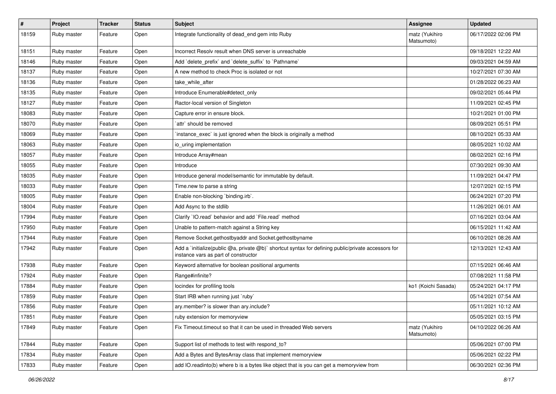| #     | Project     | <b>Tracker</b> | <b>Status</b> | <b>Subject</b>                                                                                                                              | Assignee                     | <b>Updated</b>      |
|-------|-------------|----------------|---------------|---------------------------------------------------------------------------------------------------------------------------------------------|------------------------------|---------------------|
| 18159 | Ruby master | Feature        | Open          | Integrate functionality of dead end gem into Ruby                                                                                           | matz (Yukihiro<br>Matsumoto) | 06/17/2022 02:06 PM |
| 18151 | Ruby master | Feature        | Open          | Incorrect Resoly result when DNS server is unreachable                                                                                      |                              | 09/18/2021 12:22 AM |
| 18146 | Ruby master | Feature        | Open          | Add `delete_prefix` and `delete_suffix` to `Pathname`                                                                                       |                              | 09/03/2021 04:59 AM |
| 18137 | Ruby master | Feature        | Open          | A new method to check Proc is isolated or not                                                                                               |                              | 10/27/2021 07:30 AM |
| 18136 | Ruby master | Feature        | Open          | take_while_after                                                                                                                            |                              | 01/28/2022 06:23 AM |
| 18135 | Ruby master | Feature        | Open          | Introduce Enumerable#detect only                                                                                                            |                              | 09/02/2021 05:44 PM |
| 18127 | Ruby master | Feature        | Open          | Ractor-local version of Singleton                                                                                                           |                              | 11/09/2021 02:45 PM |
| 18083 | Ruby master | Feature        | Open          | Capture error in ensure block.                                                                                                              |                              | 10/21/2021 01:00 PM |
| 18070 | Ruby master | Feature        | Open          | `attr` should be removed                                                                                                                    |                              | 08/09/2021 05:51 PM |
| 18069 | Ruby master | Feature        | Open          | instance_exec` is just ignored when the block is originally a method                                                                        |                              | 08/10/2021 05:33 AM |
| 18063 | Ruby master | Feature        | Open          | io uring implementation                                                                                                                     |                              | 08/05/2021 10:02 AM |
| 18057 | Ruby master | Feature        | Open          | Introduce Array#mean                                                                                                                        |                              | 08/02/2021 02:16 PM |
| 18055 | Ruby master | Feature        | Open          | Introduce                                                                                                                                   |                              | 07/30/2021 09:30 AM |
| 18035 | Ruby master | Feature        | Open          | Introduce general model/semantic for immutable by default.                                                                                  |                              | 11/09/2021 04:47 PM |
| 18033 | Ruby master | Feature        | Open          | Time.new to parse a string                                                                                                                  |                              | 12/07/2021 02:15 PM |
| 18005 | Ruby master | Feature        | Open          | Enable non-blocking 'binding.irb'.                                                                                                          |                              | 06/24/2021 07:20 PM |
| 18004 | Ruby master | Feature        | Open          | Add Async to the stdlib                                                                                                                     |                              | 11/26/2021 06:01 AM |
| 17994 | Ruby master | Feature        | Open          | Clarify 'IO.read' behavior and add 'File.read' method                                                                                       |                              | 07/16/2021 03:04 AM |
| 17950 | Ruby master | Feature        | Open          | Unable to pattern-match against a String key                                                                                                |                              | 06/15/2021 11:42 AM |
| 17944 | Ruby master | Feature        | Open          | Remove Socket.gethostbyaddr and Socket.gethostbyname                                                                                        |                              | 06/10/2021 08:26 AM |
| 17942 | Ruby master | Feature        | Open          | Add a `initialize(public @a, private @b)` shortcut syntax for defining public/private accessors for<br>instance vars as part of constructor |                              | 12/13/2021 12:43 AM |
| 17938 | Ruby master | Feature        | Open          | Keyword alternative for boolean positional arguments                                                                                        |                              | 07/15/2021 06:46 AM |
| 17924 | Ruby master | Feature        | Open          | Range#infinite?                                                                                                                             |                              | 07/08/2021 11:58 PM |
| 17884 | Ruby master | Feature        | Open          | locindex for profiling tools                                                                                                                | ko1 (Koichi Sasada)          | 05/24/2021 04:17 PM |
| 17859 | Ruby master | Feature        | Open          | Start IRB when running just `ruby`                                                                                                          |                              | 05/14/2021 07:54 AM |
| 17856 | Ruby master | Feature        | Open          | ary.member? is slower than ary.include?                                                                                                     |                              | 05/11/2021 10:12 AM |
| 17851 | Ruby master | Feature        | Open          | ruby extension for memoryview                                                                                                               |                              | 05/05/2021 03:15 PM |
| 17849 | Ruby master | Feature        | Open          | Fix Timeout timeout so that it can be used in threaded Web servers                                                                          | matz (Yukihiro<br>Matsumoto) | 04/10/2022 06:26 AM |
| 17844 | Ruby master | Feature        | Open          | Support list of methods to test with respond_to?                                                                                            |                              | 05/06/2021 07:00 PM |
| 17834 | Ruby master | Feature        | Open          | Add a Bytes and BytesArray class that implement memoryview                                                                                  |                              | 05/06/2021 02:22 PM |
| 17833 | Ruby master | Feature        | Open          | add IO.readinto(b) where b is a bytes like object that is you can get a memoryview from                                                     |                              | 06/30/2021 02:36 PM |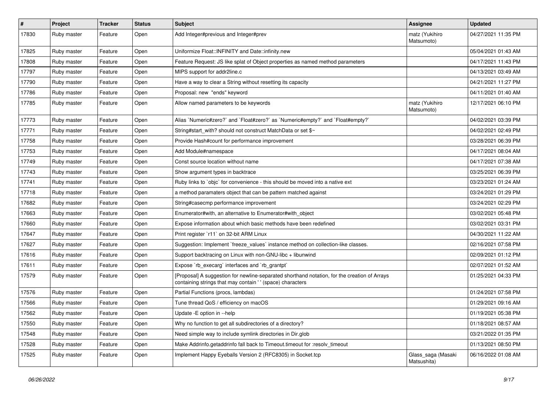| $\sharp$ | Project     | <b>Tracker</b> | <b>Status</b> | Subject                                                                                                                                                   | Assignee                          | <b>Updated</b>      |
|----------|-------------|----------------|---------------|-----------------------------------------------------------------------------------------------------------------------------------------------------------|-----------------------------------|---------------------|
| 17830    | Ruby master | Feature        | Open          | Add Integer#previous and Integer#prev                                                                                                                     | matz (Yukihiro<br>Matsumoto)      | 04/27/2021 11:35 PM |
| 17825    | Ruby master | Feature        | Open          | Uniformize Float::INFINITY and Date::infinity.new                                                                                                         |                                   | 05/04/2021 01:43 AM |
| 17808    | Ruby master | Feature        | Open          | Feature Request: JS like splat of Object properties as named method parameters                                                                            |                                   | 04/17/2021 11:43 PM |
| 17797    | Ruby master | Feature        | Open          | MIPS support for addr2line.c                                                                                                                              |                                   | 04/13/2021 03:49 AM |
| 17790    | Ruby master | Feature        | Open          | Have a way to clear a String without resetting its capacity                                                                                               |                                   | 04/21/2021 11:27 PM |
| 17786    | Ruby master | Feature        | Open          | Proposal: new "ends" keyword                                                                                                                              |                                   | 04/11/2021 01:40 AM |
| 17785    | Ruby master | Feature        | Open          | Allow named parameters to be keywords                                                                                                                     | matz (Yukihiro<br>Matsumoto)      | 12/17/2021 06:10 PM |
| 17773    | Ruby master | Feature        | Open          | Alias `Numeric#zero?` and `Float#zero?` as `Numeric#empty?` and `Float#empty?`                                                                            |                                   | 04/02/2021 03:39 PM |
| 17771    | Ruby master | Feature        | Open          | String#start with? should not construct MatchData or set \$~                                                                                              |                                   | 04/02/2021 02:49 PM |
| 17758    | Ruby master | Feature        | Open          | Provide Hash#count for performance improvement                                                                                                            |                                   | 03/28/2021 06:39 PM |
| 17753    | Ruby master | Feature        | Open          | Add Module#namespace                                                                                                                                      |                                   | 04/17/2021 08:04 AM |
| 17749    | Ruby master | Feature        | Open          | Const source location without name                                                                                                                        |                                   | 04/17/2021 07:38 AM |
| 17743    | Ruby master | Feature        | Open          | Show argument types in backtrace                                                                                                                          |                                   | 03/25/2021 06:39 PM |
| 17741    | Ruby master | Feature        | Open          | Ruby links to `objc` for convenience - this should be moved into a native ext                                                                             |                                   | 03/23/2021 01:24 AM |
| 17718    | Ruby master | Feature        | Open          | a method paramaters object that can be pattern matched against                                                                                            |                                   | 03/24/2021 01:29 PM |
| 17682    | Ruby master | Feature        | Open          | String#casecmp performance improvement                                                                                                                    |                                   | 03/24/2021 02:29 PM |
| 17663    | Ruby master | Feature        | Open          | Enumerator#with, an alternative to Enumerator#with object                                                                                                 |                                   | 03/02/2021 05:48 PM |
| 17660    | Ruby master | Feature        | Open          | Expose information about which basic methods have been redefined                                                                                          |                                   | 03/02/2021 03:31 PM |
| 17647    | Ruby master | Feature        | Open          | Print register `r11` on 32-bit ARM Linux                                                                                                                  |                                   | 04/30/2021 11:22 AM |
| 17627    | Ruby master | Feature        | Open          | Suggestion: Implement `freeze_values` instance method on collection-like classes.                                                                         |                                   | 02/16/2021 07:58 PM |
| 17616    | Ruby master | Feature        | Open          | Support backtracing on Linux with non-GNU-libc + libunwind                                                                                                |                                   | 02/09/2021 01:12 PM |
| 17611    | Ruby master | Feature        | Open          | Expose `rb_execarg` interfaces and `rb_grantpt`                                                                                                           |                                   | 02/07/2021 01:52 AM |
| 17579    | Ruby master | Feature        | Open          | [Proposal] A suggestion for newline-separated shorthand notation, for the creation of Arrays<br>containing strings that may contain '' (space) characters |                                   | 01/25/2021 04:33 PM |
| 17576    | Ruby master | Feature        | Open          | Partial Functions (procs, lambdas)                                                                                                                        |                                   | 01/24/2021 07:58 PM |
| 17566    | Ruby master | Feature        | Open          | Tune thread QoS / efficiency on macOS                                                                                                                     |                                   | 01/29/2021 09:16 AM |
| 17562    | Ruby master | Feature        | Open          | Update - E option in --help                                                                                                                               |                                   | 01/19/2021 05:38 PM |
| 17550    | Ruby master | Feature        | Open          | Why no function to get all subdirectories of a directory?                                                                                                 |                                   | 01/18/2021 08:57 AM |
| 17548    | Ruby master | Feature        | Open          | Need simple way to include symlink directories in Dir.glob                                                                                                |                                   | 03/21/2022 01:35 PM |
| 17528    | Ruby master | Feature        | Open          | Make Addrinfo.getaddrinfo fall back to Timeout.timeout for :resolv_timeout                                                                                |                                   | 01/13/2021 08:50 PM |
| 17525    | Ruby master | Feature        | Open          | Implement Happy Eyeballs Version 2 (RFC8305) in Socket.tcp                                                                                                | Glass_saga (Masaki<br>Matsushita) | 06/16/2022 01:08 AM |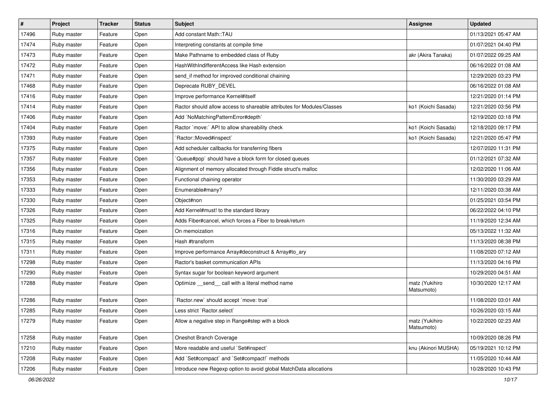| $\sharp$ | Project     | <b>Tracker</b> | <b>Status</b> | Subject                                                                | Assignee                     | <b>Updated</b>      |
|----------|-------------|----------------|---------------|------------------------------------------------------------------------|------------------------------|---------------------|
| 17496    | Ruby master | Feature        | Open          | Add constant Math::TAU                                                 |                              | 01/13/2021 05:47 AM |
| 17474    | Ruby master | Feature        | Open          | Interpreting constants at compile time                                 |                              | 01/07/2021 04:40 PM |
| 17473    | Ruby master | Feature        | Open          | Make Pathname to embedded class of Ruby                                | akr (Akira Tanaka)           | 01/07/2022 09:25 AM |
| 17472    | Ruby master | Feature        | Open          | HashWithIndifferentAccess like Hash extension                          |                              | 06/16/2022 01:08 AM |
| 17471    | Ruby master | Feature        | Open          | send_if method for improved conditional chaining                       |                              | 12/29/2020 03:23 PM |
| 17468    | Ruby master | Feature        | Open          | Deprecate RUBY_DEVEL                                                   |                              | 06/16/2022 01:08 AM |
| 17416    | Ruby master | Feature        | Open          | Improve performance Kernel#itself                                      |                              | 12/21/2020 01:14 PM |
| 17414    | Ruby master | Feature        | Open          | Ractor should allow access to shareable attributes for Modules/Classes | ko1 (Koichi Sasada)          | 12/21/2020 03:56 PM |
| 17406    | Ruby master | Feature        | Open          | Add `NoMatchingPatternError#depth`                                     |                              | 12/19/2020 03:18 PM |
| 17404    | Ruby master | Feature        | Open          | Ractor `move:` API to allow shareability check                         | ko1 (Koichi Sasada)          | 12/18/2020 09:17 PM |
| 17393    | Ruby master | Feature        | Open          | `Ractor::Moved#inspect`                                                | ko1 (Koichi Sasada)          | 12/21/2020 05:47 PM |
| 17375    | Ruby master | Feature        | Open          | Add scheduler callbacks for transferring fibers                        |                              | 12/07/2020 11:31 PM |
| 17357    | Ruby master | Feature        | Open          | Queue#pop`should have a block form for closed queues                   |                              | 01/12/2021 07:32 AM |
| 17356    | Ruby master | Feature        | Open          | Alignment of memory allocated through Fiddle struct's malloc           |                              | 12/02/2020 11:06 AM |
| 17353    | Ruby master | Feature        | Open          | Functional chaining operator                                           |                              | 11/30/2020 03:29 AM |
| 17333    | Ruby master | Feature        | Open          | Enumerable#many?                                                       |                              | 12/11/2020 03:38 AM |
| 17330    | Ruby master | Feature        | Open          | Object#non                                                             |                              | 01/25/2021 03:54 PM |
| 17326    | Ruby master | Feature        | Open          | Add Kernel#must! to the standard library                               |                              | 06/22/2022 04:10 PM |
| 17325    | Ruby master | Feature        | Open          | Adds Fiber#cancel, which forces a Fiber to break/return                |                              | 11/19/2020 12:34 AM |
| 17316    | Ruby master | Feature        | Open          | On memoization                                                         |                              | 05/13/2022 11:32 AM |
| 17315    | Ruby master | Feature        | Open          | Hash #transform                                                        |                              | 11/13/2020 08:38 PM |
| 17311    | Ruby master | Feature        | Open          | Improve performance Array#deconstruct & Array#to_ary                   |                              | 11/08/2020 07:12 AM |
| 17298    | Ruby master | Feature        | Open          | Ractor's basket communication APIs                                     |                              | 11/13/2020 04:16 PM |
| 17290    | Ruby master | Feature        | Open          | Syntax sugar for boolean keyword argument                              |                              | 10/29/2020 04:51 AM |
| 17288    | Ruby master | Feature        | Open          | Optimize _send_ call with a literal method name                        | matz (Yukihiro<br>Matsumoto) | 10/30/2020 12:17 AM |
| 17286    | Ruby master | Feature        | Open          | 'Ractor.new' should accept 'move: true'                                |                              | 11/08/2020 03:01 AM |
| 17285    | Ruby master | Feature        | Open          | Less strict `Ractor.select`                                            |                              | 10/26/2020 03:15 AM |
| 17279    | Ruby master | Feature        | Open          | Allow a negative step in Range#step with a block                       | matz (Yukihiro<br>Matsumoto) | 10/22/2020 02:23 AM |
| 17258    | Ruby master | Feature        | Open          | Oneshot Branch Coverage                                                |                              | 10/09/2020 08:26 PM |
| 17210    | Ruby master | Feature        | Open          | More readable and useful `Set#inspect`                                 | knu (Akinori MUSHA)          | 05/19/2021 10:12 PM |
| 17208    | Ruby master | Feature        | Open          | Add `Set#compact` and `Set#compact!` methods                           |                              | 11/05/2020 10:44 AM |
| 17206    | Ruby master | Feature        | Open          | Introduce new Regexp option to avoid global MatchData allocations      |                              | 10/28/2020 10:43 PM |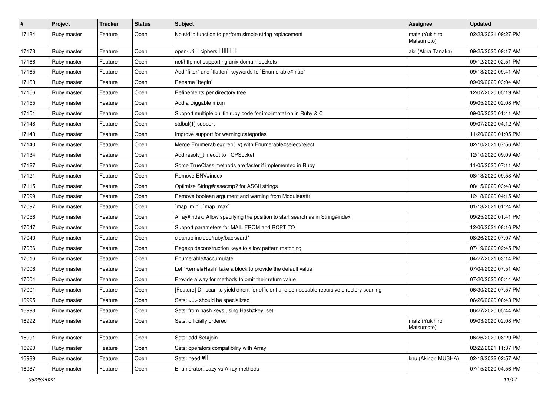| $\vert$ # | Project     | <b>Tracker</b> | <b>Status</b> | <b>Subject</b>                                                                              | Assignee                     | <b>Updated</b>      |
|-----------|-------------|----------------|---------------|---------------------------------------------------------------------------------------------|------------------------------|---------------------|
| 17184     | Ruby master | Feature        | Open          | No stdlib function to perform simple string replacement                                     | matz (Yukihiro<br>Matsumoto) | 02/23/2021 09:27 PM |
| 17173     | Ruby master | Feature        | Open          | open-uri D ciphers DOODO                                                                    | akr (Akira Tanaka)           | 09/25/2020 09:17 AM |
| 17166     | Ruby master | Feature        | Open          | net/http not supporting unix domain sockets                                                 |                              | 09/12/2020 02:51 PM |
| 17165     | Ruby master | Feature        | Open          | Add `filter` and `flatten` keywords to `Enumerable#map`                                     |                              | 09/13/2020 09:41 AM |
| 17163     | Ruby master | Feature        | Open          | Rename `begin`                                                                              |                              | 09/09/2020 03:04 AM |
| 17156     | Ruby master | Feature        | Open          | Refinements per directory tree                                                              |                              | 12/07/2020 05:19 AM |
| 17155     | Ruby master | Feature        | Open          | Add a Diggable mixin                                                                        |                              | 09/05/2020 02:08 PM |
| 17151     | Ruby master | Feature        | Open          | Support multiple builtin ruby code for implimatation in Ruby & C                            |                              | 09/05/2020 01:41 AM |
| 17148     | Ruby master | Feature        | Open          | stdbuf(1) support                                                                           |                              | 09/07/2020 04:12 AM |
| 17143     | Ruby master | Feature        | Open          | Improve support for warning categories                                                      |                              | 11/20/2020 01:05 PM |
| 17140     | Ruby master | Feature        | Open          | Merge Enumerable#grep(_v) with Enumerable#select/reject                                     |                              | 02/10/2021 07:56 AM |
| 17134     | Ruby master | Feature        | Open          | Add resolv_timeout to TCPSocket                                                             |                              | 12/10/2020 09:09 AM |
| 17127     | Ruby master | Feature        | Open          | Some TrueClass methods are faster if implemented in Ruby                                    |                              | 11/05/2020 07:11 AM |
| 17121     | Ruby master | Feature        | Open          | Remove ENV#index                                                                            |                              | 08/13/2020 09:58 AM |
| 17115     | Ruby master | Feature        | Open          | Optimize String#casecmp? for ASCII strings                                                  |                              | 08/15/2020 03:48 AM |
| 17099     | Ruby master | Feature        | Open          | Remove boolean argument and warning from Module#attr                                        |                              | 12/18/2020 04:15 AM |
| 17097     | Ruby master | Feature        | Open          | `map_min`, `map_max`                                                                        |                              | 01/13/2021 01:24 AM |
| 17056     | Ruby master | Feature        | Open          | Array#index: Allow specifying the position to start search as in String#index               |                              | 09/25/2020 01:41 PM |
| 17047     | Ruby master | Feature        | Open          | Support parameters for MAIL FROM and RCPT TO                                                |                              | 12/06/2021 08:16 PM |
| 17040     | Ruby master | Feature        | Open          | cleanup include/ruby/backward*                                                              |                              | 08/26/2020 07:07 AM |
| 17036     | Ruby master | Feature        | Open          | Regexp deconstruction keys to allow pattern matching                                        |                              | 07/19/2020 02:45 PM |
| 17016     | Ruby master | Feature        | Open          | Enumerable#accumulate                                                                       |                              | 04/27/2021 03:14 PM |
| 17006     | Ruby master | Feature        | Open          | Let `Kernel#Hash` take a block to provide the default value                                 |                              | 07/04/2020 07:51 AM |
| 17004     | Ruby master | Feature        | Open          | Provide a way for methods to omit their return value                                        |                              | 07/20/2020 05:44 AM |
| 17001     | Ruby master | Feature        | Open          | [Feature] Dir.scan to yield dirent for efficient and composable recursive directory scaning |                              | 06/30/2020 07:57 PM |
| 16995     | Ruby master | Feature        | Open          | Sets: <=> should be specialized                                                             |                              | 06/26/2020 08:43 PM |
| 16993     | Ruby master | Feature        | Open          | Sets: from hash keys using Hash#key_set                                                     |                              | 06/27/2020 05:44 AM |
| 16992     | Ruby master | Feature        | Open          | Sets: officially ordered                                                                    | matz (Yukihiro<br>Matsumoto) | 09/03/2020 02:08 PM |
| 16991     | Ruby master | Feature        | Open          | Sets: add Set#join                                                                          |                              | 06/26/2020 08:29 PM |
| 16990     | Ruby master | Feature        | Open          | Sets: operators compatibility with Array                                                    |                              | 02/22/2021 11:37 PM |
| 16989     | Ruby master | Feature        | Open          | Sets: need $\Psi$                                                                           | knu (Akinori MUSHA)          | 02/18/2022 02:57 AM |
| 16987     | Ruby master | Feature        | Open          | Enumerator::Lazy vs Array methods                                                           |                              | 07/15/2020 04:56 PM |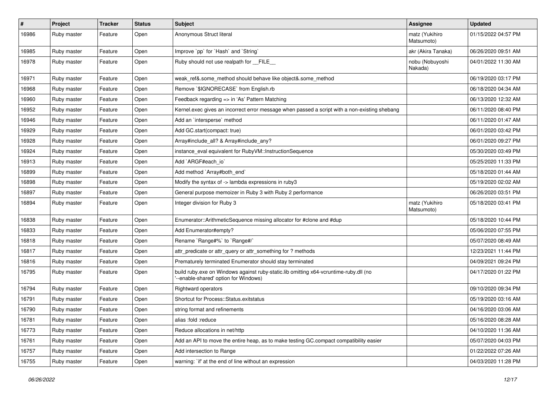| $\pmb{\#}$ | Project     | <b>Tracker</b> | <b>Status</b> | Subject                                                                                                                        | Assignee                     | <b>Updated</b>      |
|------------|-------------|----------------|---------------|--------------------------------------------------------------------------------------------------------------------------------|------------------------------|---------------------|
| 16986      | Ruby master | Feature        | Open          | Anonymous Struct literal                                                                                                       | matz (Yukihiro<br>Matsumoto) | 01/15/2022 04:57 PM |
| 16985      | Ruby master | Feature        | Open          | Improve `pp` for `Hash` and `String`                                                                                           | akr (Akira Tanaka)           | 06/26/2020 09:51 AM |
| 16978      | Ruby master | Feature        | Open          | Ruby should not use realpath for FILE                                                                                          | nobu (Nobuyoshi<br>Nakada)   | 04/01/2022 11:30 AM |
| 16971      | Ruby master | Feature        | Open          | weak_ref&.some_method should behave like object&.some_method                                                                   |                              | 06/19/2020 03:17 PM |
| 16968      | Ruby master | Feature        | Open          | Remove `\$IGNORECASE` from English.rb                                                                                          |                              | 06/18/2020 04:34 AM |
| 16960      | Ruby master | Feature        | Open          | Feedback regarding => in 'As' Pattern Matching                                                                                 |                              | 06/13/2020 12:32 AM |
| 16952      | Ruby master | Feature        | Open          | Kernel.exec gives an incorrect error message when passed a script with a non-existing shebang                                  |                              | 06/11/2020 08:40 PM |
| 16946      | Ruby master | Feature        | Open          | Add an `intersperse` method                                                                                                    |                              | 06/11/2020 01:47 AM |
| 16929      | Ruby master | Feature        | Open          | Add GC.start(compact: true)                                                                                                    |                              | 06/01/2020 03:42 PM |
| 16928      | Ruby master | Feature        | Open          | Array#include_all? & Array#include_any?                                                                                        |                              | 06/01/2020 09:27 PM |
| 16924      | Ruby master | Feature        | Open          | instance_eval equivalent for RubyVM::InstructionSequence                                                                       |                              | 05/30/2020 03:49 PM |
| 16913      | Ruby master | Feature        | Open          | Add `ARGF#each_io`                                                                                                             |                              | 05/25/2020 11:33 PM |
| 16899      | Ruby master | Feature        | Open          | Add method `Array#both_end`                                                                                                    |                              | 05/18/2020 01:44 AM |
| 16898      | Ruby master | Feature        | Open          | Modify the syntax of -> lambda expressions in ruby3                                                                            |                              | 05/19/2020 02:02 AM |
| 16897      | Ruby master | Feature        | Open          | General purpose memoizer in Ruby 3 with Ruby 2 performance                                                                     |                              | 06/26/2020 03:51 PM |
| 16894      | Ruby master | Feature        | Open          | Integer division for Ruby 3                                                                                                    | matz (Yukihiro<br>Matsumoto) | 05/18/2020 03:41 PM |
| 16838      | Ruby master | Feature        | Open          | Enumerator::ArithmeticSequence missing allocator for #clone and #dup                                                           |                              | 05/18/2020 10:44 PM |
| 16833      | Ruby master | Feature        | Open          | Add Enumerator#empty?                                                                                                          |                              | 05/06/2020 07:55 PM |
| 16818      | Ruby master | Feature        | Open          | Rename `Range#%` to `Range#/`                                                                                                  |                              | 05/07/2020 08:49 AM |
| 16817      | Ruby master | Feature        | Open          | attr_predicate or attr_query or attr_something for ? methods                                                                   |                              | 12/23/2021 11:44 PM |
| 16816      | Ruby master | Feature        | Open          | Prematurely terminated Enumerator should stay terminated                                                                       |                              | 04/09/2021 09:24 PM |
| 16795      | Ruby master | Feature        | Open          | build ruby.exe on Windows against ruby-static.lib omitting x64-vcruntime-ruby.dll (no<br>'--enable-shared' option for Windows) |                              | 04/17/2020 01:22 PM |
| 16794      | Ruby master | Feature        | Open          | <b>Rightward operators</b>                                                                                                     |                              | 09/10/2020 09:34 PM |
| 16791      | Ruby master | Feature        | Open          | Shortcut for Process::Status.exitstatus                                                                                        |                              | 05/19/2020 03:16 AM |
| 16790      | Ruby master | Feature        | Open          | string format and refinements                                                                                                  |                              | 04/16/2020 03:06 AM |
| 16781      | Ruby master | Feature        | Open          | alias :fold :reduce                                                                                                            |                              | 05/16/2020 08:28 AM |
| 16773      | Ruby master | Feature        | Open          | Reduce allocations in net/http                                                                                                 |                              | 04/10/2020 11:36 AM |
| 16761      | Ruby master | Feature        | Open          | Add an API to move the entire heap, as to make testing GC.compact compatibility easier                                         |                              | 05/07/2020 04:03 PM |
| 16757      | Ruby master | Feature        | Open          | Add intersection to Range                                                                                                      |                              | 01/22/2022 07:26 AM |
| 16755      | Ruby master | Feature        | Open          | warning: `if' at the end of line without an expression                                                                         |                              | 04/03/2020 11:28 PM |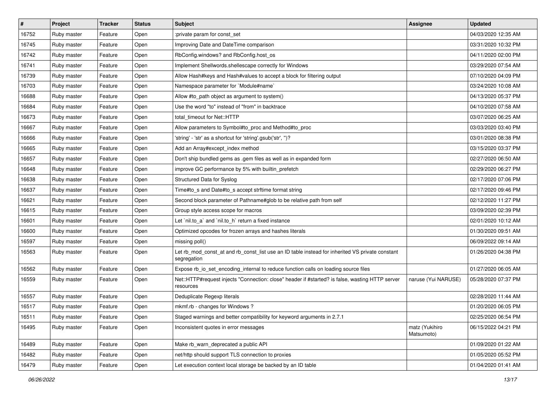| #     | Project     | <b>Tracker</b> | <b>Status</b> | <b>Subject</b>                                                                                                 | <b>Assignee</b>              | <b>Updated</b>      |
|-------|-------------|----------------|---------------|----------------------------------------------------------------------------------------------------------------|------------------------------|---------------------|
| 16752 | Ruby master | Feature        | Open          | :private param for const_set                                                                                   |                              | 04/03/2020 12:35 AM |
| 16745 | Ruby master | Feature        | Open          | Improving Date and DateTime comparison                                                                         |                              | 03/31/2020 10:32 PM |
| 16742 | Ruby master | Feature        | Open          | RbConfig.windows? and RbConfig.host_os                                                                         |                              | 04/11/2020 02:00 PM |
| 16741 | Ruby master | Feature        | Open          | Implement Shellwords.shellescape correctly for Windows                                                         |                              | 03/29/2020 07:54 AM |
| 16739 | Ruby master | Feature        | Open          | Allow Hash#keys and Hash#values to accept a block for filtering output                                         |                              | 07/10/2020 04:09 PM |
| 16703 | Ruby master | Feature        | Open          | Namespace parameter for `Module#name`                                                                          |                              | 03/24/2020 10:08 AM |
| 16688 | Ruby master | Feature        | Open          | Allow #to_path object as argument to system()                                                                  |                              | 04/13/2020 05:37 PM |
| 16684 | Ruby master | Feature        | Open          | Use the word "to" instead of "from" in backtrace                                                               |                              | 04/10/2020 07:58 AM |
| 16673 | Ruby master | Feature        | Open          | total timeout for Net::HTTP                                                                                    |                              | 03/07/2020 06:25 AM |
| 16667 | Ruby master | Feature        | Open          | Allow parameters to Symbol#to_proc and Method#to_proc                                                          |                              | 03/03/2020 03:40 PM |
| 16666 | Ruby master | Feature        | Open          | 'string' - 'str' as a shortcut for 'string'.gsub('str', ")?                                                    |                              | 03/01/2020 08:38 PM |
| 16665 | Ruby master | Feature        | Open          | Add an Array#except index method                                                                               |                              | 03/15/2020 03:37 PM |
| 16657 | Ruby master | Feature        | Open          | Don't ship bundled gems as .gem files as well as in expanded form                                              |                              | 02/27/2020 06:50 AM |
| 16648 | Ruby master | Feature        | Open          | improve GC performance by 5% with builtin_prefetch                                                             |                              | 02/29/2020 06:27 PM |
| 16638 | Ruby master | Feature        | Open          | Structured Data for Syslog                                                                                     |                              | 02/17/2020 07:06 PM |
| 16637 | Ruby master | Feature        | Open          | Time#to_s and Date#to_s accept strftime format string                                                          |                              | 02/17/2020 09:46 PM |
| 16621 | Ruby master | Feature        | Open          | Second block parameter of Pathname#glob to be relative path from self                                          |                              | 02/12/2020 11:27 PM |
| 16615 | Ruby master | Feature        | Open          | Group style access scope for macros                                                                            |                              | 03/09/2020 02:39 PM |
| 16601 | Ruby master | Feature        | Open          | Let `nil.to_a` and `nil.to_h` return a fixed instance                                                          |                              | 02/01/2020 10:12 AM |
| 16600 | Ruby master | Feature        | Open          | Optimized opcodes for frozen arrays and hashes literals                                                        |                              | 01/30/2020 09:51 AM |
| 16597 | Ruby master | Feature        | Open          | missing poll()                                                                                                 |                              | 06/09/2022 09:14 AM |
| 16563 | Ruby master | Feature        | Open          | Let rb_mod_const_at and rb_const_list use an ID table instead for inherited VS private constant<br>segregation |                              | 01/26/2020 04:38 PM |
| 16562 | Ruby master | Feature        | Open          | Expose rb_io_set_encoding_internal to reduce function calls on loading source files                            |                              | 01/27/2020 06:05 AM |
| 16559 | Ruby master | Feature        | Open          | Net::HTTP#request injects "Connection: close" header if #started? is false, wasting HTTP server<br>resources   | naruse (Yui NARUSE)          | 05/28/2020 07:37 PM |
| 16557 | Ruby master | Feature        | Open          | Deduplicate Regexp literals                                                                                    |                              | 02/28/2020 11:44 AM |
| 16517 | Ruby master | Feature        | Open          | mkmf.rb - changes for Windows?                                                                                 |                              | 01/20/2020 06:05 PM |
| 16511 | Ruby master | Feature        | Open          | Staged warnings and better compatibility for keyword arguments in 2.7.1                                        |                              | 02/25/2020 06:54 PM |
| 16495 | Ruby master | Feature        | Open          | Inconsistent quotes in error messages                                                                          | matz (Yukihiro<br>Matsumoto) | 06/15/2022 04:21 PM |
| 16489 | Ruby master | Feature        | Open          | Make rb_warn_deprecated a public API                                                                           |                              | 01/09/2020 01:22 AM |
| 16482 | Ruby master | Feature        | Open          | net/http should support TLS connection to proxies                                                              |                              | 01/05/2020 05:52 PM |
| 16479 | Ruby master | Feature        | Open          | Let execution context local storage be backed by an ID table                                                   |                              | 01/04/2020 01:41 AM |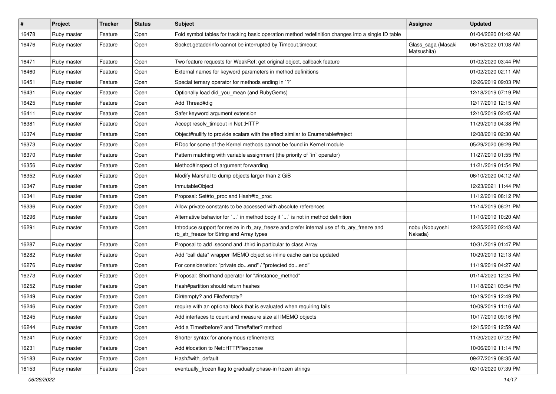| #     | Project     | <b>Tracker</b> | <b>Status</b> | Subject                                                                                                                                | Assignee                          | <b>Updated</b>      |
|-------|-------------|----------------|---------------|----------------------------------------------------------------------------------------------------------------------------------------|-----------------------------------|---------------------|
| 16478 | Ruby master | Feature        | Open          | Fold symbol tables for tracking basic operation method redefinition changes into a single ID table                                     |                                   | 01/04/2020 01:42 AM |
| 16476 | Ruby master | Feature        | Open          | Socket.getaddrinfo cannot be interrupted by Timeout.timeout                                                                            | Glass_saga (Masaki<br>Matsushita) | 06/16/2022 01:08 AM |
| 16471 | Ruby master | Feature        | Open          | Two feature requests for WeakRef: get original object, callback feature                                                                |                                   | 01/02/2020 03:44 PM |
| 16460 | Ruby master | Feature        | Open          | External names for keyword parameters in method definitions                                                                            |                                   | 01/02/2020 02:11 AM |
| 16451 | Ruby master | Feature        | Open          | Special ternary operator for methods ending in `?`                                                                                     |                                   | 12/26/2019 09:03 PM |
| 16431 | Ruby master | Feature        | Open          | Optionally load did_you_mean (and RubyGems)                                                                                            |                                   | 12/18/2019 07:19 PM |
| 16425 | Ruby master | Feature        | Open          | Add Thread#dig                                                                                                                         |                                   | 12/17/2019 12:15 AM |
| 16411 | Ruby master | Feature        | Open          | Safer keyword argument extension                                                                                                       |                                   | 12/10/2019 02:45 AM |
| 16381 | Ruby master | Feature        | Open          | Accept resolv_timeout in Net::HTTP                                                                                                     |                                   | 11/29/2019 04:38 PM |
| 16374 | Ruby master | Feature        | Open          | Object#nullify to provide scalars with the effect similar to Enumerable#reject                                                         |                                   | 12/08/2019 02:30 AM |
| 16373 | Ruby master | Feature        | Open          | RDoc for some of the Kernel methods cannot be found in Kernel module                                                                   |                                   | 05/29/2020 09:29 PM |
| 16370 | Ruby master | Feature        | Open          | Pattern matching with variable assignment (the priority of `in` operator)                                                              |                                   | 11/27/2019 01:55 PM |
| 16356 | Ruby master | Feature        | Open          | Method#inspect of argument forwarding                                                                                                  |                                   | 11/21/2019 01:54 PM |
| 16352 | Ruby master | Feature        | Open          | Modify Marshal to dump objects larger than 2 GiB                                                                                       |                                   | 06/10/2020 04:12 AM |
| 16347 | Ruby master | Feature        | Open          | InmutableObject                                                                                                                        |                                   | 12/23/2021 11:44 PM |
| 16341 | Ruby master | Feature        | Open          | Proposal: Set#to_proc and Hash#to_proc                                                                                                 |                                   | 11/12/2019 08:12 PM |
| 16336 | Ruby master | Feature        | Open          | Allow private constants to be accessed with absolute references                                                                        |                                   | 11/14/2019 06:21 PM |
| 16296 | Ruby master | Feature        | Open          | Alternative behavior for `` in method body if `` is not in method definition                                                           |                                   | 11/10/2019 10:20 AM |
| 16291 | Ruby master | Feature        | Open          | Introduce support for resize in rb_ary_freeze and prefer internal use of rb_ary_freeze and<br>rb_str_freeze for String and Array types | nobu (Nobuyoshi<br>Nakada)        | 12/25/2020 02:43 AM |
| 16287 | Ruby master | Feature        | Open          | Proposal to add .second and .third in particular to class Array                                                                        |                                   | 10/31/2019 01:47 PM |
| 16282 | Ruby master | Feature        | Open          | Add "call data" wrapper IMEMO object so inline cache can be updated                                                                    |                                   | 10/29/2019 12:13 AM |
| 16276 | Ruby master | Feature        | Open          | For consideration: "private doend" / "protected doend"                                                                                 |                                   | 11/19/2019 04:27 AM |
| 16273 | Ruby master | Feature        | Open          | Proposal: Shorthand operator for "#instance_method"                                                                                    |                                   | 01/14/2020 12:24 PM |
| 16252 | Ruby master | Feature        | Open          | Hash#partition should return hashes                                                                                                    |                                   | 11/18/2021 03:54 PM |
| 16249 | Ruby master | Feature        | Open          | Dir#empty? and File#empty?                                                                                                             |                                   | 10/19/2019 12:49 PM |
| 16246 | Ruby master | Feature        | Open          | require with an optional block that is evaluated when requiring fails                                                                  |                                   | 10/09/2019 11:16 AM |
| 16245 | Ruby master | Feature        | Open          | Add interfaces to count and measure size all IMEMO objects                                                                             |                                   | 10/17/2019 09:16 PM |
| 16244 | Ruby master | Feature        | Open          | Add a Time#before? and Time#after? method                                                                                              |                                   | 12/15/2019 12:59 AM |
| 16241 | Ruby master | Feature        | Open          | Shorter syntax for anonymous refinements                                                                                               |                                   | 11/20/2020 07:22 PM |
| 16231 | Ruby master | Feature        | Open          | Add #location to Net::HTTPResponse                                                                                                     |                                   | 10/06/2019 11:14 PM |
| 16183 | Ruby master | Feature        | Open          | Hash#with default                                                                                                                      |                                   | 09/27/2019 08:35 AM |
| 16153 | Ruby master | Feature        | Open          | eventually_frozen flag to gradually phase-in frozen strings                                                                            |                                   | 02/10/2020 07:39 PM |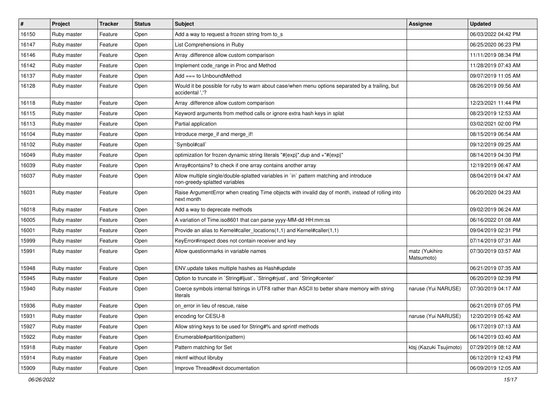| #     | Project     | <b>Tracker</b> | <b>Status</b> | Subject                                                                                                                 | <b>Assignee</b>              | <b>Updated</b>      |
|-------|-------------|----------------|---------------|-------------------------------------------------------------------------------------------------------------------------|------------------------------|---------------------|
| 16150 | Ruby master | Feature        | Open          | Add a way to request a frozen string from to_s                                                                          |                              | 06/03/2022 04:42 PM |
| 16147 | Ruby master | Feature        | Open          | List Comprehensions in Ruby                                                                                             |                              | 06/25/2020 06:23 PM |
| 16146 | Ruby master | Feature        | Open          | Array .difference allow custom comparison                                                                               |                              | 11/11/2019 08:34 PM |
| 16142 | Ruby master | Feature        | Open          | Implement code_range in Proc and Method                                                                                 |                              | 11/28/2019 07:43 AM |
| 16137 | Ruby master | Feature        | Open          | Add === to UnboundMethod                                                                                                |                              | 09/07/2019 11:05 AM |
| 16128 | Ruby master | Feature        | Open          | Would it be possible for ruby to warn about case/when menu options separated by a trailing, but<br>accidental ','?      |                              | 08/26/2019 09:56 AM |
| 16118 | Ruby master | Feature        | Open          | Array .difference allow custom comparison                                                                               |                              | 12/23/2021 11:44 PM |
| 16115 | Ruby master | Feature        | Open          | Keyword arguments from method calls or ignore extra hash keys in splat                                                  |                              | 08/23/2019 12:53 AM |
| 16113 | Ruby master | Feature        | Open          | Partial application                                                                                                     |                              | 03/02/2021 02:00 PM |
| 16104 | Ruby master | Feature        | Open          | Introduce merge_if and merge_if!                                                                                        |                              | 08/15/2019 06:54 AM |
| 16102 | Ruby master | Feature        | Open          | `Symbol#call`                                                                                                           |                              | 09/12/2019 09:25 AM |
| 16049 | Ruby master | Feature        | Open          | optimization for frozen dynamic string literals "#{exp}".dup and +"#{exp}"                                              |                              | 08/14/2019 04:30 PM |
| 16039 | Ruby master | Feature        | Open          | Array#contains? to check if one array contains another array                                                            |                              | 12/19/2019 06:47 AM |
| 16037 | Ruby master | Feature        | Open          | Allow multiple single/double-splatted variables in `in` pattern matching and introduce<br>non-greedy-splatted variables |                              | 08/04/2019 04:47 AM |
| 16031 | Ruby master | Feature        | Open          | Raise ArgumentError when creating Time objects with invalid day of month, instead of rolling into<br>next month         |                              | 06/20/2020 04:23 AM |
| 16018 | Ruby master | Feature        | Open          | Add a way to deprecate methods                                                                                          |                              | 09/02/2019 06:24 AM |
| 16005 | Ruby master | Feature        | Open          | A variation of Time.iso8601 that can parse yyyy-MM-dd HH:mm:ss                                                          |                              | 06/16/2022 01:08 AM |
| 16001 | Ruby master | Feature        | Open          | Provide an alias to Kernel#caller_locations(1,1) and Kernel#caller(1,1)                                                 |                              | 09/04/2019 02:31 PM |
| 15999 | Ruby master | Feature        | Open          | KeyError#inspect does not contain receiver and key                                                                      |                              | 07/14/2019 07:31 AM |
| 15991 | Ruby master | Feature        | Open          | Allow questionmarks in variable names                                                                                   | matz (Yukihiro<br>Matsumoto) | 07/30/2019 03:57 AM |
| 15948 | Ruby master | Feature        | Open          | ENV.update takes multiple hashes as Hash#update                                                                         |                              | 06/21/2019 07:35 AM |
| 15945 | Ruby master | Feature        | Open          | Option to truncate in `String#ljust`, `String#rjust`, and `String#center`                                               |                              | 06/20/2019 02:39 PM |
| 15940 | Ruby master | Feature        | Open          | Coerce symbols internal fstrings in UTF8 rather than ASCII to better share memory with string<br>literals               | naruse (Yui NARUSE)          | 07/30/2019 04:17 AM |
| 15936 | Ruby master | Feature        | Open          | on error in lieu of rescue, raise                                                                                       |                              | 06/21/2019 07:05 PM |
| 15931 | Ruby master | Feature        | Open          | encoding for CESU-8                                                                                                     | naruse (Yui NARUSE)          | 12/20/2019 05:42 AM |
| 15927 | Ruby master | Feature        | Open          | Allow string keys to be used for String#% and sprintf methods                                                           |                              | 06/17/2019 07:13 AM |
| 15922 | Ruby master | Feature        | Open          | Enumerable#partition(pattern)                                                                                           |                              | 06/14/2019 03:40 AM |
| 15918 | Ruby master | Feature        | Open          | Pattern matching for Set                                                                                                | ktsj (Kazuki Tsujimoto)      | 07/29/2019 08:12 AM |
| 15914 | Ruby master | Feature        | Open          | mkmf without libruby                                                                                                    |                              | 06/12/2019 12:43 PM |
| 15909 | Ruby master | Feature        | Open          | Improve Thread#exit documentation                                                                                       |                              | 06/09/2019 12:05 AM |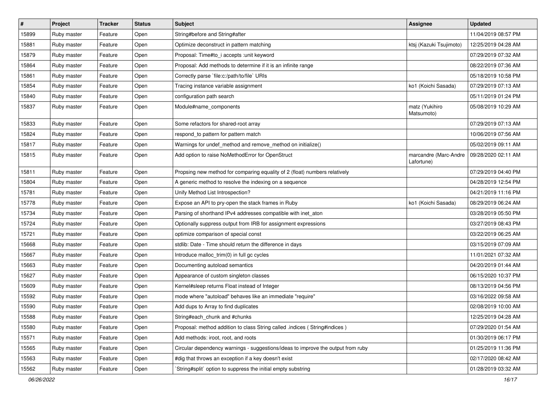| $\sharp$ | Project     | <b>Tracker</b> | <b>Status</b> | <b>Subject</b>                                                                   | Assignee                            | <b>Updated</b>      |
|----------|-------------|----------------|---------------|----------------------------------------------------------------------------------|-------------------------------------|---------------------|
| 15899    | Ruby master | Feature        | Open          | String#before and String#after                                                   |                                     | 11/04/2019 08:57 PM |
| 15881    | Ruby master | Feature        | Open          | Optimize deconstruct in pattern matching                                         | ktsj (Kazuki Tsujimoto)             | 12/25/2019 04:28 AM |
| 15879    | Ruby master | Feature        | Open          | Proposal: Time#to i accepts : unit keyword                                       |                                     | 07/29/2019 07:32 AM |
| 15864    | Ruby master | Feature        | Open          | Proposal: Add methods to determine if it is an infinite range                    |                                     | 08/22/2019 07:36 AM |
| 15861    | Ruby master | Feature        | Open          | Correctly parse `file:c:/path/to/file` URIs                                      |                                     | 05/18/2019 10:58 PM |
| 15854    | Ruby master | Feature        | Open          | Tracing instance variable assignment                                             | ko1 (Koichi Sasada)                 | 07/29/2019 07:13 AM |
| 15840    | Ruby master | Feature        | Open          | configuration path search                                                        |                                     | 05/11/2019 01:24 PM |
| 15837    | Ruby master | Feature        | Open          | Module#name_components                                                           | matz (Yukihiro<br>Matsumoto)        | 05/08/2019 10:29 AM |
| 15833    | Ruby master | Feature        | Open          | Some refactors for shared-root array                                             |                                     | 07/29/2019 07:13 AM |
| 15824    | Ruby master | Feature        | Open          | respond to pattern for pattern match                                             |                                     | 10/06/2019 07:56 AM |
| 15817    | Ruby master | Feature        | Open          | Warnings for undef_method and remove_method on initialize()                      |                                     | 05/02/2019 09:11 AM |
| 15815    | Ruby master | Feature        | Open          | Add option to raise NoMethodError for OpenStruct                                 | marcandre (Marc-Andre<br>Lafortune) | 09/28/2020 02:11 AM |
| 15811    | Ruby master | Feature        | Open          | Propsing new method for comparing equality of 2 (float) numbers relatively       |                                     | 07/29/2019 04:40 PM |
| 15804    | Ruby master | Feature        | Open          | A generic method to resolve the indexing on a sequence                           |                                     | 04/28/2019 12:54 PM |
| 15781    | Ruby master | Feature        | Open          | Unify Method List Introspection?                                                 |                                     | 04/21/2019 11:16 PM |
| 15778    | Ruby master | Feature        | Open          | Expose an API to pry-open the stack frames in Ruby                               | ko1 (Koichi Sasada)                 | 08/29/2019 06:24 AM |
| 15734    | Ruby master | Feature        | Open          | Parsing of shorthand IPv4 addresses compatible with inet_aton                    |                                     | 03/28/2019 05:50 PM |
| 15724    | Ruby master | Feature        | Open          | Optionally suppress output from IRB for assignment expressions                   |                                     | 03/27/2019 08:43 PM |
| 15721    | Ruby master | Feature        | Open          | optimize comparison of special const                                             |                                     | 03/22/2019 06:25 AM |
| 15668    | Ruby master | Feature        | Open          | stdlib: Date - Time should return the difference in days                         |                                     | 03/15/2019 07:09 AM |
| 15667    | Ruby master | Feature        | Open          | Introduce malloc_trim(0) in full gc cycles                                       |                                     | 11/01/2021 07:32 AM |
| 15663    | Ruby master | Feature        | Open          | Documenting autoload semantics                                                   |                                     | 04/20/2019 01:44 AM |
| 15627    | Ruby master | Feature        | Open          | Appearance of custom singleton classes                                           |                                     | 06/15/2020 10:37 PM |
| 15609    | Ruby master | Feature        | Open          | Kernel#sleep returns Float instead of Integer                                    |                                     | 08/13/2019 04:56 PM |
| 15592    | Ruby master | Feature        | Open          | mode where "autoload" behaves like an immediate "require"                        |                                     | 03/16/2022 09:58 AM |
| 15590    | Ruby master | Feature        | Open          | Add dups to Array to find duplicates                                             |                                     | 02/08/2019 10:00 AM |
| 15588    | Ruby master | Feature        | Open          | String#each_chunk and #chunks                                                    |                                     | 12/25/2019 04:28 AM |
| 15580    | Ruby master | Feature        | Open          | Proposal: method addition to class String called .indices (String#indices)       |                                     | 07/29/2020 01:54 AM |
| 15571    | Ruby master | Feature        | Open          | Add methods: iroot, root, and roots                                              |                                     | 01/30/2019 06:17 PM |
| 15565    | Ruby master | Feature        | Open          | Circular dependency warnings - suggestions/ideas to improve the output from ruby |                                     | 01/25/2019 11:36 PM |
| 15563    | Ruby master | Feature        | Open          | #dig that throws an exception if a key doesn't exist                             |                                     | 02/17/2020 08:42 AM |
| 15562    | Ruby master | Feature        | Open          | 'String#split' option to suppress the initial empty substring                    |                                     | 01/28/2019 03:32 AM |